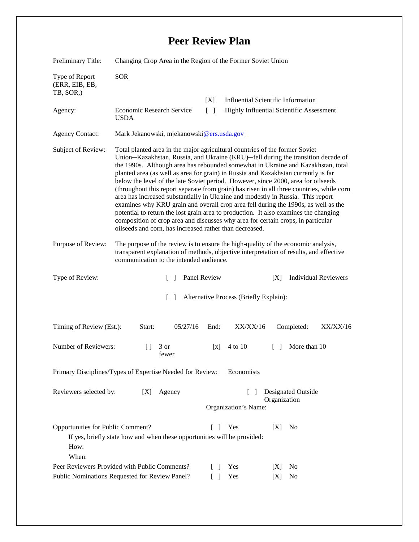## **Peer Review Plan**

| Preliminary Title:                                                                                                                                                       | Changing Crop Area in the Region of the Former Soviet Union                                                                                                                                                                                                                                                                                                                                                                                                                                                                                                                                                                                                                                                                                                                                                                                                                                                                                 |                                                            |                                                                |                 |                                           |                             |
|--------------------------------------------------------------------------------------------------------------------------------------------------------------------------|---------------------------------------------------------------------------------------------------------------------------------------------------------------------------------------------------------------------------------------------------------------------------------------------------------------------------------------------------------------------------------------------------------------------------------------------------------------------------------------------------------------------------------------------------------------------------------------------------------------------------------------------------------------------------------------------------------------------------------------------------------------------------------------------------------------------------------------------------------------------------------------------------------------------------------------------|------------------------------------------------------------|----------------------------------------------------------------|-----------------|-------------------------------------------|-----------------------------|
| Type of Report<br>(ERR, EIB, EB,<br>TB, SOR,)                                                                                                                            | <b>SOR</b>                                                                                                                                                                                                                                                                                                                                                                                                                                                                                                                                                                                                                                                                                                                                                                                                                                                                                                                                  |                                                            |                                                                |                 |                                           |                             |
|                                                                                                                                                                          |                                                                                                                                                                                                                                                                                                                                                                                                                                                                                                                                                                                                                                                                                                                                                                                                                                                                                                                                             |                                                            | [X]                                                            |                 | <b>Influential Scientific Information</b> |                             |
| Agency:                                                                                                                                                                  | Economic Research Service<br><b>USDA</b>                                                                                                                                                                                                                                                                                                                                                                                                                                                                                                                                                                                                                                                                                                                                                                                                                                                                                                    |                                                            | $\lceil \; \rceil$<br>Highly Influential Scientific Assessment |                 |                                           |                             |
| <b>Agency Contact:</b>                                                                                                                                                   | Mark Jekanowski, mjekanowski@ers.usda.gov                                                                                                                                                                                                                                                                                                                                                                                                                                                                                                                                                                                                                                                                                                                                                                                                                                                                                                   |                                                            |                                                                |                 |                                           |                             |
| Subject of Review:                                                                                                                                                       | Total planted area in the major agricultural countries of the former Soviet<br>Union-Kazakhstan, Russia, and Ukraine (KRU)-fell during the transition decade of<br>the 1990s. Although area has rebounded somewhat in Ukraine and Kazakhstan, total<br>planted area (as well as area for grain) in Russia and Kazakhstan currently is far<br>below the level of the late Soviet period. However, since 2000, area for oilseeds<br>(throughout this report separate from grain) has risen in all three countries, while corn<br>area has increased substantially in Ukraine and modestly in Russia. This report<br>examines why KRU grain and overall crop area fell during the 1990s, as well as the<br>potential to return the lost grain area to production. It also examines the changing<br>composition of crop area and discusses why area for certain crops, in particular<br>oilseeds and corn, has increased rather than decreased. |                                                            |                                                                |                 |                                           |                             |
| Purpose of Review:                                                                                                                                                       | The purpose of the review is to ensure the high-quality of the economic analysis,<br>transparent explanation of methods, objective interpretation of results, and effective<br>communication to the intended audience.                                                                                                                                                                                                                                                                                                                                                                                                                                                                                                                                                                                                                                                                                                                      |                                                            |                                                                |                 |                                           |                             |
| Type of Review:                                                                                                                                                          |                                                                                                                                                                                                                                                                                                                                                                                                                                                                                                                                                                                                                                                                                                                                                                                                                                                                                                                                             | $\Box$                                                     | Panel Review                                                   |                 | [X]                                       | <b>Individual Reviewers</b> |
| Alternative Process (Briefly Explain):<br>$\Box$                                                                                                                         |                                                                                                                                                                                                                                                                                                                                                                                                                                                                                                                                                                                                                                                                                                                                                                                                                                                                                                                                             |                                                            |                                                                |                 |                                           |                             |
| Timing of Review (Est.):                                                                                                                                                 | Start:                                                                                                                                                                                                                                                                                                                                                                                                                                                                                                                                                                                                                                                                                                                                                                                                                                                                                                                                      | 05/27/16                                                   | End:                                                           | <b>XX/XX/16</b> | Completed:                                | XX/XX/16                    |
| Number of Reviewers:                                                                                                                                                     | $\Box$                                                                                                                                                                                                                                                                                                                                                                                                                                                                                                                                                                                                                                                                                                                                                                                                                                                                                                                                      | 3 or<br>fewer                                              | $\lceil x \rceil$                                              | 4 to 10         | More than 10<br>$\Box$                    |                             |
| Primary Disciplines/Types of Expertise Needed for Review:<br>Economists                                                                                                  |                                                                                                                                                                                                                                                                                                                                                                                                                                                                                                                                                                                                                                                                                                                                                                                                                                                                                                                                             |                                                            |                                                                |                 |                                           |                             |
| Reviewers selected by:<br>Agency<br>[X]                                                                                                                                  |                                                                                                                                                                                                                                                                                                                                                                                                                                                                                                                                                                                                                                                                                                                                                                                                                                                                                                                                             | Designated Outside<br>Organization<br>Organization's Name: |                                                                |                 |                                           |                             |
| Opportunities for Public Comment?<br>Yes<br>N <sub>0</sub><br>[X]<br>$\Box$<br>If yes, briefly state how and when these opportunities will be provided:<br>How:<br>When: |                                                                                                                                                                                                                                                                                                                                                                                                                                                                                                                                                                                                                                                                                                                                                                                                                                                                                                                                             |                                                            |                                                                |                 |                                           |                             |
| Peer Reviewers Provided with Public Comments?                                                                                                                            |                                                                                                                                                                                                                                                                                                                                                                                                                                                                                                                                                                                                                                                                                                                                                                                                                                                                                                                                             |                                                            | $\mathbf{I}$                                                   | Yes             | [X]<br>N <sub>0</sub>                     |                             |
| Public Nominations Requested for Review Panel?<br>Yes<br>$\Box$                                                                                                          |                                                                                                                                                                                                                                                                                                                                                                                                                                                                                                                                                                                                                                                                                                                                                                                                                                                                                                                                             |                                                            |                                                                |                 | No<br>[X]                                 |                             |